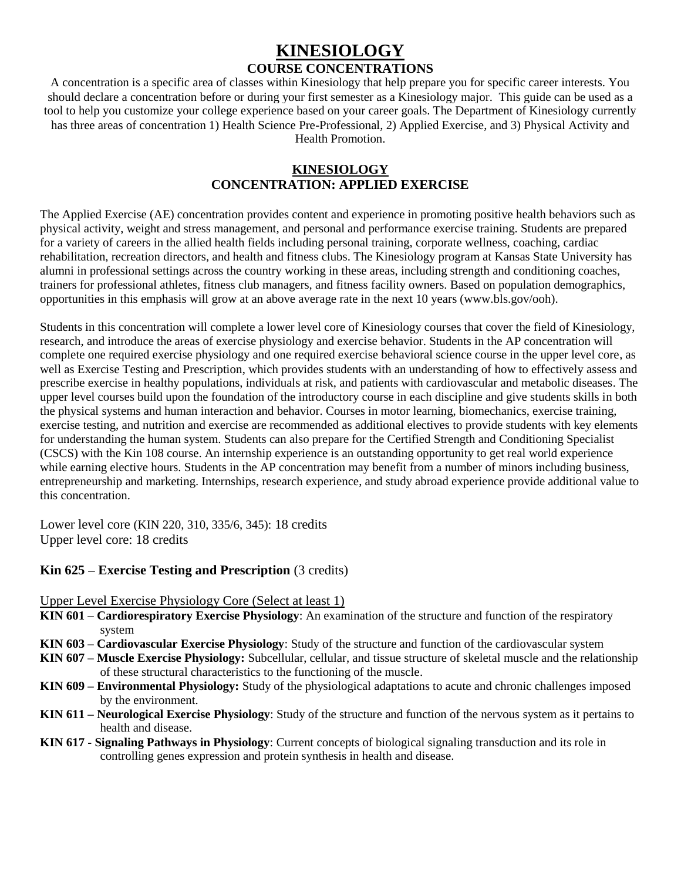# **KINESIOLOGY COURSE CONCENTRATIONS**

A concentration is a specific area of classes within Kinesiology that help prepare you for specific career interests. You should declare a concentration before or during your first semester as a Kinesiology major. This guide can be used as a tool to help you customize your college experience based on your career goals. The Department of Kinesiology currently has three areas of concentration 1) Health Science Pre-Professional, 2) Applied Exercise, and 3) Physical Activity and Health Promotion.

### **KINESIOLOGY CONCENTRATION: APPLIED EXERCISE**

The Applied Exercise (AE) concentration provides content and experience in promoting positive health behaviors such as physical activity, weight and stress management, and personal and performance exercise training. Students are prepared for a variety of careers in the allied health fields including personal training, corporate wellness, coaching, cardiac rehabilitation, recreation directors, and health and fitness clubs. The Kinesiology program at Kansas State University has alumni in professional settings across the country working in these areas, including strength and conditioning coaches, trainers for professional athletes, fitness club managers, and fitness facility owners. Based on population demographics, opportunities in this emphasis will grow at an above average rate in the next 10 years (www.bls.gov/ooh).

Students in this concentration will complete a lower level core of Kinesiology courses that cover the field of Kinesiology, research, and introduce the areas of exercise physiology and exercise behavior. Students in the AP concentration will complete one required exercise physiology and one required exercise behavioral science course in the upper level core, as well as Exercise Testing and Prescription, which provides students with an understanding of how to effectively assess and prescribe exercise in healthy populations, individuals at risk, and patients with cardiovascular and metabolic diseases. The upper level courses build upon the foundation of the introductory course in each discipline and give students skills in both the physical systems and human interaction and behavior. Courses in motor learning, biomechanics, exercise training, exercise testing, and nutrition and exercise are recommended as additional electives to provide students with key elements for understanding the human system. Students can also prepare for the Certified Strength and Conditioning Specialist (CSCS) with the Kin 108 course. An internship experience is an outstanding opportunity to get real world experience while earning elective hours. Students in the AP concentration may benefit from a number of minors including business, entrepreneurship and marketing. Internships, research experience, and study abroad experience provide additional value to this concentration.

Lower level core (KIN 220, 310, 335/6, 345): 18 credits Upper level core: 18 credits

## **Kin 625 – Exercise Testing and Prescription** (3 credits)

Upper Level Exercise Physiology Core (Select at least 1)

- **KIN 601 – Cardiorespiratory Exercise Physiology**: An examination of the structure and function of the respiratory system
- **KIN 603 – Cardiovascular Exercise Physiology**: Study of the structure and function of the cardiovascular system
- **KIN 607 – Muscle Exercise Physiology:** Subcellular, cellular, and tissue structure of skeletal muscle and the relationship of these structural characteristics to the functioning of the muscle.
- **KIN 609 – Environmental Physiology:** Study of the physiological adaptations to acute and chronic challenges imposed by the environment.
- **KIN 611 – Neurological Exercise Physiology**: Study of the structure and function of the nervous system as it pertains to health and disease.
- **KIN 617 - Signaling Pathways in Physiology**: Current concepts of biological signaling transduction and its role in controlling genes expression and protein synthesis in health and disease.